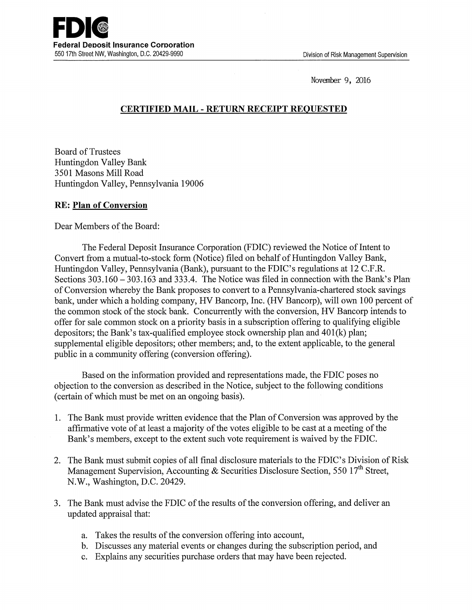Novanber 9, 2016

## **CERTIFIED MAIL** - **RETURN RECEIPT REQUESTED**

Board of Trustees Huntingdon Valley Bank 3501 Masons Mill Road Huntingdon Valley, Pennsylvania 19006

## **RE: Plan of Conversion**

Dear Members of the Board:

The Federal Deposit Insurance Corporation (FDIC) reviewed the Notice of Intent to Convert from a mutual-to-stock form (Notice) filed on behalf of Huntingdon Valley Bank, Huntingdon Valley, Pennsylvania (Bank), pursuant to the FDIC's regulations at 12 C.F.R. Sections 303.160-303.163 and 333.4. The Notice was filed in connection with the Bank's Plan· of Conversion whereby the Bank proposes to convert to a Pennsylvania-chartered stock savings bank, under which a holding company, HV Bancorp, Inc. (HV Bancorp), will own 100 percent of the common stock of the stock bank. Concurrently with the conversion, HV Bancorp intends to offer for sale common stock on a priority basis in a subscription offering to qualifying eligible depositors; the Bank's tax-qualified employee stock ownership plan and 401(k) plan; supplemental eligible depositors; other members; and, to the extent applicable, to the general public in a community offering (conversion offering).

Based on the information provided and representations made, the FDIC poses no objection to the conversion as described in the Notice, subject to the following conditions (certain of which must be met on an ongoing basis).

- 1. The Bank must provide written evidence that the Plan of Conversion was approved by the affirmative vote of at least a majority of the votes eligible to be cast at a meeting of the Bank's members, except to the extent such vote requirement is waived by the FDIC.
- 2. The Bank must submit copies of all final disclosure materials to the FDIC's Division of Risk Management Supervision, Accounting & Securities Disclosure Section, 550 17<sup>th</sup> Street, N.W., Washington, D.C. 20429.
- 3. The Bank must advise the FDIC of the results of the conversion offering, and deliver an updated appraisal that:
	- a. Takes the results of the conversion offering into account,
	- b. Discusses any material events or changes during the subscription period, and
	- c. Explains any securities purchase orders that may have been rejected.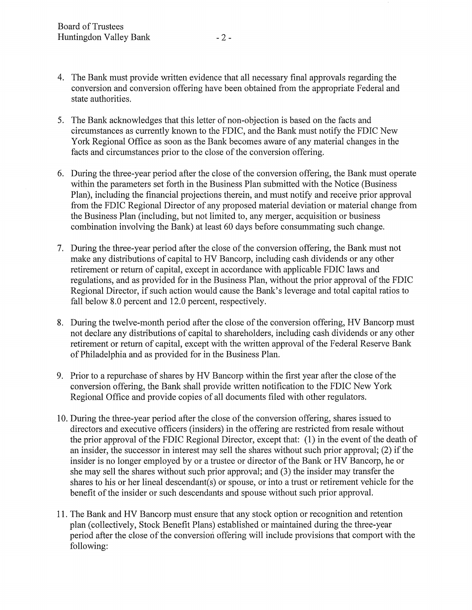- 4. The Bank must provide written evidence that all necessary final approvals regarding the conversion and conversion offering have been obtained from the appropriate Federal and state authorities.
- 5. The Bank acknowledges that this letter of non-objection is based on the facts and circumstances as currently known to the FDIC, and the Bank must notify the FDIC New York Regional Office as soon as the Bank becomes aware of any material changes in the facts and circumstances prior to the close of the conversion offering.
- 6. During the three-year period after the close of the conversion offering, the Bank must operate within the parameters set forth in the Business Plan submitted with the Notice (Business Plan), including the financial projections therein, and must notify and receive prior approval from the FDIC Regional Director of any proposed material deviation or material change from the Business Plan (including, but not limited to, any merger, acquisition or business combination involving the Bank) at least 60 days before consummating such change.
- 7. During the three-year period after the close of the conversion offering, the Bank must not make any distributions of capital to HV Bancorp, including cash dividends or any other retirement or return of capital, except in accordance with applicable FDIC laws and regulations, and as provided for in the Business Plan, without the prior approval of the FDIC Regional Director, if such action would cause the Bank's leverage and total capital ratios to fall below 8.0 percent and 12.0 percent, respectively.
- 8. During the twelve-month period after the close of the conversion offering, HV Bancorp must not declare any distributions of capital to shareholders, including cash dividends or any other retirement or return of capital, except with the written approval of the Federal Reserve Bank of Philadelphia and as provided for in the Business Plan.
- 9. Prior to a repurchase of shares by HV Bancorp within the first year after the close of the conversion offering, the Bank shall provide written notification to the FDIC New York Regional Office and provide copies of all documents filed with other regulators.
- 10. During the three-year period after the close of the conversion offering, shares issued to directors and executive officers (insiders) in the offering are restricted from resale without the prior approval of the FDIC Regional Director, except that: (1) in the event of the death of an insider, the successor in interest may sell the shares without such prior approval; (2) if the insider is no longer employed by or a trustee or director of the Bank or HV Bancorp, he or she may sell the shares without such prior approval; and (3) the insider may transfer the shares to his or her lineal descendant(s) or spouse, or into a trust or retirement vehicle for the benefit of the insider or such descendants and spouse without such prior approval.
- 11. The Bank and HV Bancorp must ensure that any stock option or recognition and retention plan (collectively, Stock Benefit Plans) established or maintained during the three-year period after the close of the conversion offering will include provisions that comport with the following: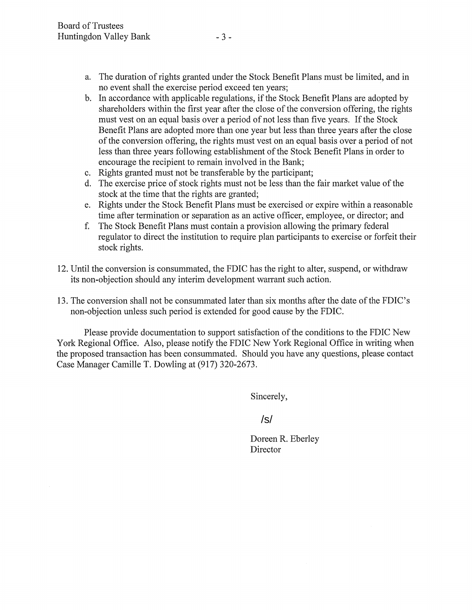- a. The duration of rights granted under the Stock Benefit Plans must be limited, and in no event shall the exercise period exceed ten years;
- b. In accordance with applicable regulations, if the Stock Benefit Plans are adopted by shareholders within the first year after the close of the conversion offering, the rights must vest on an equal basis over a period of not less than five years. If the Stock Benefit Plans are adopted more than one year but less than three years after the close of the conversion offering, the rights must vest on an equal basis over a period of not less than three years following establishment of the Stock Benefit Plans in order to encourage the recipient to remain involved in the Bank;
- c. Rights granted must not be transferable by the participant;
- d. The exercise price of stock rights must not be less than the fair market value of the stock at the time that the rights are granted;
- e. Rights under the Stock Benefit Plans must be exercised or expire within a reasonable time after termination or separation as an active officer, employee, or director; and
- f. The Stock Benefit Plans must contain a provision allowing the primary federal regulator to direct the institution to require plan participants to exercise or forfeit their stock rights.
- 12. Until the conversion is consummated, the FDIC has the right to alter, suspend, or withdraw its non-objection should any interim development warrant such action.
- 13. The conversion shall not be consummated later than six months after the date of the FDIC's non-objection unless such period is extended for good cause by the FDIC.

Please provide documentation to support satisfaction of the conditions to the FDIC New York Regional Office. Also, please notify the FDIC New York Regional Office in writing when the proposed transaction has been consummated. Should you have any questions, please contact Case Manager Camille T. Dowling at (917) 320-2673.

Sincerely,

/s/

Doreen R. Eberley Director